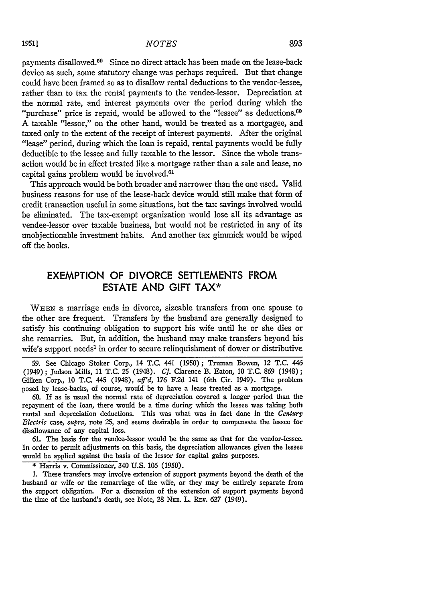payments disallowed.<sup>59</sup> Since no direct attack has been made on the lease-back device as such, some statutory change was perhaps required. But that change could have been framed so as to disallow rental deductions to the vendor-lessee, rather than to tax the rental payments to the vendee-lessor. Depreciation at the normal rate, and interest payments over the period during which the "purchase" price is repaid, would be allowed to the "lessee" as deductions.<sup>60</sup> **A** taxable "lessor," on the other hand, would be treated as a mortgagee, and taxed only to the extent of the receipt of interest payments. After the original "lease" period, during which the loan is repaid, rental payments would be fully deductible to the lessee and fully taxable to the lessor. Since the whole transaction would be in effect treated like a mortgage rather than a sale and lease, no capital gains problem would be involved.<sup>61</sup>

This approach would be both broader and narrower than the one used. Valid business reasons for use of the lease-back device would still make that form of credit transaction useful in some situations, but the tax savings involved would be eliminated. The tax-exempt organization would lose all its advantage as vendee-lessor over taxable business, but would not be restricted in any of its unobjectionable investment habits. And another tax gimmick would be wiped off the books.

## **EXEMPTION OF DIVORCE SETTLEMENTS FROM ESTATE AND GIFT TAX\***

**WHEN** a marriage ends in divorce, sizeable transfers from one spouse to the other are frequent. Transfers by the husband are generally designed to satisfy his continuing obligation to support his wife until he or she dies or she remarries. But, in addition, the husband may make transfers beyond his wife's support needs<sup>1</sup> in order to secure relinquishment of dower or distributive

**59.** See Chicago Stoker Corp., 14 **T.C.** 441 (1950); Truman Bowen, 12 **T.C.** 446 (1949); Judson Mills, 11 T.C. 25 (1948). *Cf.* Clarence B. Eaton, 10 T.C. 869 (1948); Gilken Corp., 10 T.C. 445 (1948), *aff'd,* 176 F.2d 141 (6th Cir. 1949). The problem posed by lease-backs, of course, would be to have a lease treated as a mortgage.

**60.** If as is usual the normal rate of depreciation covered a longer period than the repayment of the loan, there would be a time during which the lessee was taking both rental and depreciation deductions. This was what was in fact done in the *Century Electric* case, *supra,* note **25,** and seems desirable in order to compensate the lessee for disallowance of any capital loss.

**61.** The basis for the vendee-lessor would be the same as that for the vendor-lessee. In order to permit adjustments on this basis, the depreciation allowances given the lessee would be applied against the basis of the lessor for capital gains purposes.

**\*** Harris v. Commissioner, 340 **U.S. 106 (1950).**

**1.** These transfers may involve extension of support payments beyond the death of the husband or wife or the remarriage of the wife, or they may be entirely separate from the support obligation. For a discussion of the extension of support payments beyond the time of the husband's death, see Note, 28 NEB. L. REV. 627 (1949).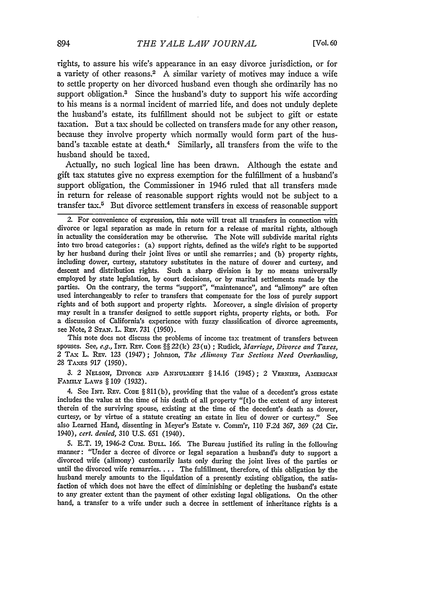rights, to assure his wife's appearance in an easy divorce jurisdiction, or for a variety of other reasons.2 A similar variety of motives may induce a wife to settle property on her divorced husband even though she ordinarily has no support obligation.<sup>3</sup> Since the husband's duty to support his wife according to his means is a normal incident of married life, and does not unduly deplete the husband's estate, its fulfillment should not be subject to gift or estate taxation. But a tax should be collected on transfers made for any other reason, because they involve property which normally would form part of the husband's taxable estate at death.<sup>4</sup> Similarly, all transfers from the wife to the husband should be taxed.

Actually, no such logical line has been drawn. Although the estate and gift tax statutes give no express exemption for the fulfillment of a husband's support obligation, the Commissioner in 1946 ruled that all transfers made in return for release of reasonable support rights would not be subject to a transfer tax.5 But divorce settlement transfers in excess of reasonable support

This note does not discuss the problems of income tax treatment of transfers between spouses. See, e.g., **INT.** REV. CODE §§ 22(k) 23(u) ; Rudick, *Marriage, Divorce and Taxes,* 2 TAx L. REv. 123 (1947); Johnson, *The Alimony Tax Sections Need Overhauling,* 28 TAXES 917 (1950).

*3.* 2 **NELSON,** DIVORCE **AND ANNUL-MENT** § 14.16 (1945); 2 VERNIER, AMERICAN FA ILY LAWS § **109** (1932).

4. See INT. REv. CODE § 811(b), providing that the value of a decedent's gross estate includes the value at the time of his death of all property "[t]o the extent of any interest therein of the surviving spouse, existing at the time of the decedent's death as dower, curtesy, or by virtue of a statute creating an estate in lieu of dower or curtesy." See also Learned Hand, dissenting in Meyer's Estate v. Comm'r, 110 F.2d 367, **369 (2d** Cir. 1940), *cert. denied,* 310 U.S. 651 (1940).

5. E.T. 19, 1946-2 **Cum. BULL.** 166. The Bureau justified its ruling in the following manner: "Under a decree of divorce or legal separation a husband's duty to support a divorced wife (alimony) customarily lasts only during the joint lives of the parties or until the divorced wife remarries .... The fulfillment, therefore, of this obligation by the husband merely amounts to the liquidation of a presently existing obligation, the satisfaction of which does not have the effect of diminishing or depleting the husband's estate to any greater extent than the payment of other existing legal obligations. On the other hand, a transfer to a wife under such a decree in settlement of inheritance rights is a

<sup>2.</sup> For convenience of expression, this note will treat all transfers in connection with divorce or legal separation as made in return for a release of marital rights, although in actuality the consideration may be otherwise. The Note will subdivide marital rights into two broad categories: (a) support rights, defined as the wife's right to be supported by her husband during their joint lives or until she remarries; and (b) property rights, including dower, curtesy, statutory substitutes in the nature of dower and curtesy, and descent and distribution rights. Such a sharp division is by no means universally employed by state legislation, by court decisions, or by marital settlements made by the parties. On the contrary, the terms "support", "maintenance", and "alimony" are often used interchangeably to refer to transfers that compensate for the loss of purely support rights and of both support and property rights. Moreover, a single division of property may result in a transfer designed to settle support rights, property rights, or both. For a discussion of California's experience with fuzzy classification of divorce agreements, see Note, 2 STAN. L. REV. 731 (1950).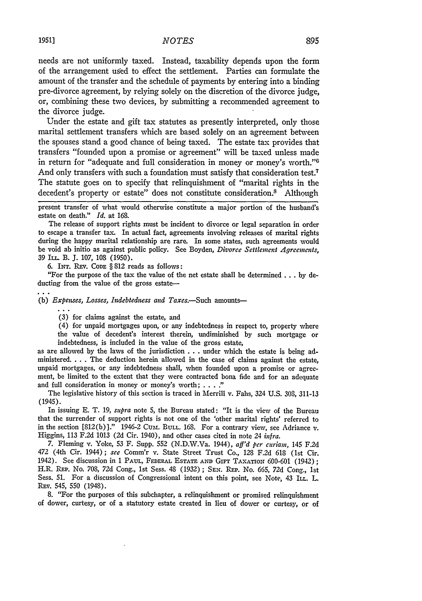needs are not uniformly taxed. Instead, taxability depends upon the form of the arrangement used to effect the settlement. Parties can formulate the amount of the transfer and the schedule of payments by entering into a binding pre-divorce agreement, by relying solely on the discretion of the divorce judge, or, combining these two devices, by submitting a recommended agreement to the divorce judge.

Under the estate and gift tax statutes as presently interpreted, only those marital settlement transfers which are based solely on an agreement between the spouses stand a good chance of being taxed. The estate tax provides that transfers "founded upon a promise or agreement" will be taxed unless made in return for "adequate and full consideration in money or money's worth."0 And only transfers with such a foundation must satisfy that consideration test.<sup>7</sup> The statute goes on to specify that relinquishment of "marital rights in the decedent's property or estate" does not constitute consideration.<sup>8</sup> Although

present transfer of what would otherwise constitute a major portion of the husband's estate on death." *Id.* at **168.**

The release of support rights must be incident to divorce or legal separation in order to escape a transfer tax. In actual fact, agreements involving releases of marital rights during the happy marital relationship are rare. In some states, such agreements would be void ab initio as against public policy. See Boyden, *Divorce Settlement Agreements*, 39 ILL. B. **J.** 107, **108** (1950).

6. INT. REv. **CODE** § 812 reads as follows:

"For the purpose of the tax the value of the net estate shall be determined **...** by deducting from the value of the gross estate-

(b) Expenses, Losses, Indebtedness and Taxes.-Such amounts-

**(3)** for claims against the estate, and

(4) for unpaid mortgages upon, or any indebtedness in respect to, property where the value of decedent's interest therein, undiminished **by** such mortgage or indebtedness, is included in the value of the gross estate,

as are allowed **by** the laws of the jurisdiction **...**under which the estate is being administered **....** The deduction herein allowed in the case of claims against the estate, unpaid mortgages, or any indebtedness shall, when founded upon a promise or agreement, be limited to the extent that they were contracted bona fide and for an adequate and full consideration in money or money's worth; . **.. ."**

The legislative history of this section is traced in Merrill v. Fabs, 324 **U.S.** 303, 311-13 (1945).

In issuing E. T. 19, *supra* note 5, the Bureau stated: "It is the view of the Bureau that the surrender of support rights is not one of the 'other marital rights' referred to in the section  $[812(b)]$ ." 1946-2 CUM. BULL. 168. For a contrary view, see Adriance v. Higgins, 113 F.2d 1013 (2d Cir. 1940), and other cases cited in note 24 *infra.*

7. Fleming v. Yoke, 53 F. Supp. 552 (N.D.W.Va. 1944), *aff'd per curiam,* 145 F.2d 472 (4th Cir. 1944); *see* Comm'r v. State Street Trust Co., 128 F.2d 618 (lst Cir. 1942). See discussion in 1 **PAUL,** FEDERAL **ESTATE AND** Girv TA xATioN 600-601 (1942); H.R. REP. No. 708, 72d Cong., 1st Sess. 48 (1932); **SEN.** REP. No. 665, *72d* Cong., Ist Sess. 51. For a discussion of Congressional intent on this point, see Note, 43 **ILL.** L. REV. 545, 550 (1948).

8. "For the purposes of this subchapter, a relinquishment or promised relinquishment of dower, curtesy, or of a statutory estate created in lieu of dower or curtesy, or of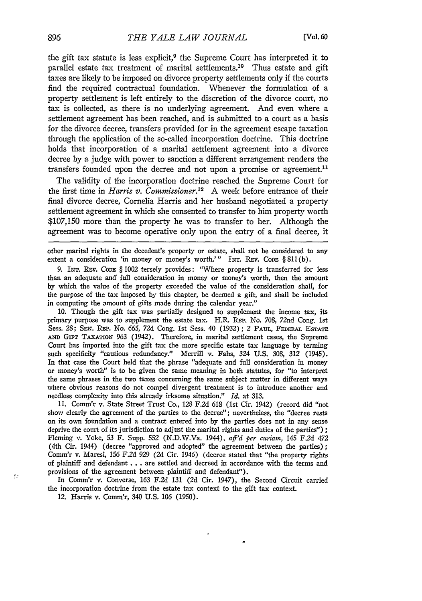the gift tax statute is less explicit, $9$  the Supreme Court has interpreted it to parallel estate tax treatment of marital settlements.<sup>10</sup> Thus estate and gift taxes are likely to be imposed on divorce property settlements only if the courts find the required contractual foundation. Whenever the formulation of a property settlement is left entirely to the discretion of the divorce court, no tax is collected, as there is no underlying agreement. And even where a settlement agreement has been reached, and is submitted to a court as a basis for the divorce decree, transfers provided for in the agreement escape taxation through the application of the so-called incorporation doctrine. This doctrine holds that incorporation of a marital settlement agreement into a divorce decree by a judge with power to sanction a different arrangement renders the transfers founded upon the decree and not upon a promise or agreement.<sup>11</sup>

The validity of the incorporation doctrine reached the Supreme Court for the first time in *Harris v. Commissioner*.<sup>12</sup> A week before entrance of their final divorce decree, Cornelia Harris and her husband negotiated a property settlement agreement in which she consented to transfer to him property worth \$107,150 more than the property he was to transfer to her. Although the agreement was to become operative only upon the entry of a final decree, it

other marital rights in the decedent's property or estate, shall not be considered to any extent a consideration 'in money or money's worth.'" INT. REV. CODE § 811(b).

9. INT. **REv.** CoDE § 1002 tersely provides: "Where property is transferred for less than an adequate and full consideration in money or money's worth, then the amount by which the value of the property exceeded the value of the consideration shall, for the purpose of the tax imposed by this chapter, be deemed a gift, and shall be included in computing the amount of gifts made during the calendar year."

**10.** Though the gift tax was partially designed to supplement the income tax, its primary purpose was to supplement the estate tax. H.R. REP. No. 708, 72nd Cong. 1st Sess. 28; SEN. REP. No. 665, 72d Cong. 1st Sess. 40 (1932); 2 PAUL, FEDERAL ESTATE AND GIFT TAXATION 963 (1942). Therefore, in marital settlement cases, the Supreme Court has imported into the gift tax the more specific estate tax language by terming such specificity "cautious redundancy." Merrill v. Fahs, 324 U.S. 308, 312 (1945). In that case the Court held that the phrase "adequate and full consideration in money or money's worth" is to be given the same meaning in both statutes, for "to interpret the same phrases in the two taxes concerning the same subject matter in different ways where obvious reasons do not compel divergent treatment is to introduce another and needless complexity into this already irksome situation." *Id.* at 313.

11. Comm'r v. State Street Trust Co., 128 F.2d 618 (1st Cir. 1942) (record did "not show clearly the agreement of the parties to the decree"; nevertheless, the "decree rests on its own foundation and a contract entered into by the parties does not in any sense deprive the court of its jurisdiction to adjust the marital rights and duties of the parties") **;** Fleming v. Yoke, **53** F. Supp. **552** (N.D.W.Va. 1944), *aff'd per curiam,* 145 F.2d *472* (4th Cir. 1944) (decree "approved and adopted" the agreement between the parties); Comm'r v. Maresi, **156** F.2d 929 (2d Cir. 1946) (decree stated that "the property rights of plaintiff and defendant **...** are settled and decreed in accordance with the terms and provisions of the agreement between plaintiff and defendant").

In Comm'r v. Converse, **163** F.2d 131 (2d Cir. 1947), the Second Circuit carried the incorporation doctrine from the estate tax context to the gift tax context.

م

12. Harris v. Comm'r, 340 U.S. 106 (1950).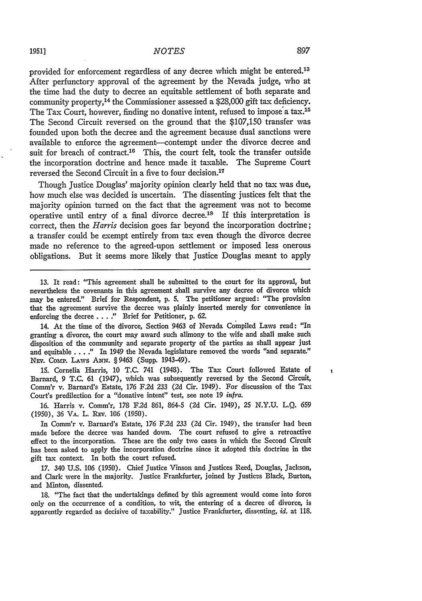provided for enforcement regardless of any decree which might be entered.<sup>13</sup> After perfunctory approval of the agreement **by** the Nevada judge, who at the time had the duty to decree an equitable settlement of both separate and community property,<sup>14</sup> the Commissioner assessed a \$28,000 gift tax deficiency. The Tax Court, however, finding no donative intent, refused to impose a tax.<sup>15</sup> The Second Circuit reversed on the ground that the \$107,150 transfer was founded upon both the decree and the agreement because dual sanctions were available to enforce the agreement-contempt under the divorce decree and suit for breach of contract.<sup>16</sup> This, the court felt, took the transfer outside the incorporation doctrine and hence made it taxable. The Supreme Court reversed the Second Circuit in a five to four decision.<sup>17</sup>

Though Justice Douglas' majority opinion dearly held that no tax was due, how much else was decided is uncertain. The dissenting justices felt that the majority opinion turned on the fact that the agreement was not to become operative until entry of a final divorce decree.<sup>18</sup> If this interpretation is correct, then the *Harris* decision goes far beyond the incorporation doctrine; a transfer could be exempt entirely from tax even though the divorce decree made no reference to the agreed-upon settlement or imposed less onerous obligations. But it seems more likely that Justice Douglas meant to apply

**13.** It read: "This agreement shall be submitted to the court for its approval, but nevertheless the covenants in this agreement shall survive any decree of divorce which may be entered." Brief for Respondent, **p. 5.** The petitioner argued: "The provision that the agreement survive the decree was plainly inserted merely for convenience in enforcing the decree **... ."** Brief for Petitioner, **p. 62.**

14. At the time of the divorce, Section 9463 of Nevada Compiled Laws read: "In granting a divorce, the court may award such alimony to the wife and shall make such disposition of the community and separate property of the parties as shall appear just and equitable. **.. ."** In 1949 the Nevada legislature removed the words "and separate." NEV. COMP. LAWS ANN. § 9463 (Supp. 1943-49).

15. Cornelia Harris, **10** T.C. 741 (1948). The Tax Court followed Estate of Barnard, 9 T.C. **61** (1947), which was subsequently reversed by the Second Circuit, Comm'r v. Barnard's Estate, **176** F.2d 233 (2d Cir. 1949). For discussion of the Tax Court's predilection for a "donative intent" test, see note 19 *infra.*

**16.** Harris v. Comm'r, 178 F.2d **861,** 864-5 (2d Cir. 1949), 25 N.Y.U. L.Q. **659** (1950), 36 VA. L. REv. **106** (1950).

In Comm'r v. Barnard's Estate, **176** F.2d 233 (2d Cir. 1949), the transfer had been made before the decree was handed down. The court refused to give a retroactive effect to the incorporation. These are the only two cases in which the Second Circuit has been asked to apply the incorporation doctrine since it adopted this doctrine in the gift tax context. In both the court refused.

**17.** 340 **U.S.** *106* (1950). Chief Justice Vinson and Justices Reed, Douglas, Jackson, and Clark were in the majority. Justice Frankfurter, joined **by** Justices Black, Burton, and Minton, dissented.

**18.** "The fact that the undertakings defined **by** this agreement would come into force only on the occurrence of a condition, to wit, the entering of a decree of divorce, is apparently regarded as decisive of taxability." Justice Frankfurter, dissenting, *id.* at 118. ¥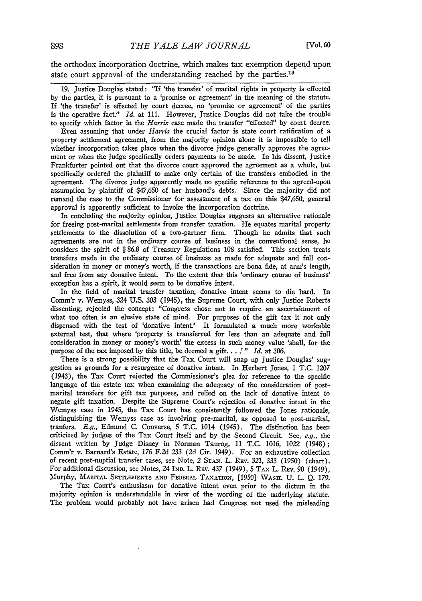the orthodox incorporation doctrine, which makes tax exemption depend upon state court approval of the understanding reached by the parties.<sup>19</sup>

19. Justice Douglas stated: "If 'the transfer' of marital rights in property is effected by the parties, it is pursuant to a 'promise or agreement' in the meaning of the statute. If 'the transfer' is effected by court decree, no 'promise or agreement' of the parties is the operative fact." *Id.* at 111. However, Justice Douglas did not take the trouble to specify which factor in the *Harris* case made the transfer "effected" by court decree.

Even assuming that under *Harris* the crucial factor is state court ratification of a property settlement agreement, from the majority opinion alone it is impossible to tell whether incorporation takes place when the divorce judge generally approves the agreement or when the judge specifically orders payments to be made. In his dissent, Justice Frankfurter pointed out that the divorce court approved the agreement as a whole, but specifically ordered the plaintiff to make only certain of the transfers embodied in the agreement. The divorce judge apparently made no specific reference to the agreed-upon assumption by plaintiff of \$47,650 of her husband's debts. Since the majority did not remand the case to the Commissioner for assessment of a tax on this \$47,650, general approval is apparently sufficient to invoke the incorporation doctrine.

In concluding the majority opinion, Justice Douglas suggests an alternative rationale for freeing post-marital settlements from transfer taxation. He equates marital property settlements to the dissolution of a two-partner firm. Though he admits that such agreements are not in the ordinary course of business in the conventional sense, he considers the spirit of § 86.8 of Treasury Regulations 108 satisfied. This section treats transfers made in the ordinary course of business as made for adequate and full consideration in money or money's worth, if the transactions are bona fide, at arm's length, and free from any donative intent. To the extent that this 'ordinary course of business' exception has a spirit, it would seem to be donative intent.

In the field of marital transfer taxation, donative intent seems to die hard. In Comm'r v. Wemyss, 324 U.S. 303 (1945), the Supreme Court, with only Justice Roberts dissenting, rejected the concept: "Congress chose not to require an ascertainment of what too often is an elusive state of mind. For purposes of the gift tax it not only dispensed with the test of 'donative intent' It formulated a much more workable external test, that where 'property is transferred for less than an adequate and full consideration in money or money's worth' the excess in such money value 'shall, for the purpose of the tax imposed by this title, be deemed a gift... *'" Id.* at 306.

There is a strong possibility that the Tax Court will snap up Justice Douglas' suggestion as grounds for a resurgence of donative intent. In Herbert Jones, 1 T.C. 1207 (1943), the Tax Court rejected the Commissioner's plea for reference to the specific language of the estate tax when examining the adequacy of the consideration of postmarital transfers for gift tax purposes, and relied on the lack of donative intent to negate gift taxation. Despite the Supreme Court's rejection of donative intent in the Wemyss case in 1945, the Tax Court has consistently followed the Jones rationale, distinguishing the Wemyss case as involving pre-marital, as opposed to post-marital, tranfers. *E.g.,* Edmund C. Converse, 5 T.C. 1014 (1945). The distinction has been criticized by judges of the Tax Court itself and by the Second Circuit. See, *e.g.,* the dissent written by Judge Disney in Norman Taurog, 11 T.C. 1016, 1022 (1948); Comm'r v. Barnard's Estate, 176 F.2d 233 (2d Cir. 1949). For an exhaustive collection of recent post-nuptial transfer cases, see Note, *2* **STAN.** L. REv. 321, 333 (1950) (chart). For additional discussion, see Notes, 24 IND. L. REV. 437 (1949), 5 TAX L. REV. 90 (1949), Murphy, **MARITAL SETEMENTS .AND** FEDERAL TAxATION, [1950] WASH. **U.** L. *Q.* 179.

The Tax Court's enthusiasm for donative intent even prior to the dictum in the majority opinion is understandable in view of the wording of the underlying statute. The problem would probably not have arisen had Congress not used the misleading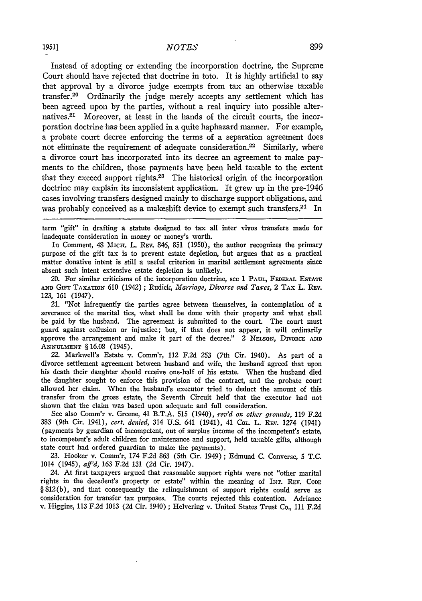Instead of adopting or extending the incorporation doctrine, the Supreme Court should have rejected that doctrine in toto. It is highly artificial to say that approval by a divorce judge exempts from tax an otherwise taxable transfer.20 Ordinarily the judge merely accepts any settlement which has been agreed upon by the parties, without a real inquiry into possible alternatives.<sup>21</sup> Moreover, at least in the hands of the circuit courts, the incorporation doctrine has been applied in a quite haphazard manner. For example, a probate court decree enforcing the terms of a separation agreement does not eliminate the requirement of adequate consideration.<sup>22</sup> Similarly, where a divorce court has incorporated into its decree an agreement to make payments to the children, those payments have been held taxable to the extent that they exceed support rights. $23$  The historical origin of the incorporation doctrine may explain its inconsistent application. It grew up in the pre-1946 cases involving transfers designed mainly to discharge support obligations, and was probably conceived as a makeshift device to exempt such transfers. $24$  In

term "gift" in drafting a statute designed to tax all inter vivos transfers made for inadequate consideration in money or money's worth.

In Comment, 48 Micni. L. REv. 846, **851** (1950), the author recognizes the primary purpose of the gift tax is to prevent estate depletion, but argues that as a practical matter donative intent is still a useful criterion in marital settlement agreements since absent such intent extensive estate depletion is unlikely.

20. For similar criticisms of the incorporation doctrine, see 1 PAUL, FEDERAL **EsTATE AND** GFT TAXATION 610 (1942) ; Rudick, *Marriage, Divorce and Taxes,* 2 TAx L. Rzv. 123, 161 (1947).

*21.* "Not infrequently the parties agree between themselves, in contemplation of a severance of the marital ties, what shall be done with their property and what shall be paid by the husband. The agreement is submitted to the court. The court must guard against collusion or injustice; but, if that does not appear, it will ordinarily approve the arrangement and make it part of the decree." 2 *NELsoN,* DIVORCE **AND ANNULMENT § 16.08 (1945).** 

22. Markwell's Estate v. Comm'r, 112 F.2d 253 (7th Cir. 1940). As part of a divorce settlement agreement between husband and wife, the husband agreed that upon his death their daughter should receive one-half of his estate. When the husband died the daughter sought to enforce this provision of the contract, and the probate court allowed her claim. When the husband's executor tried to deduct the amount of this transfer from the gross estate, the Seventh Circuit held that the executor had not shown that the claim was based upon adequate and full consideration.

See also Comm'r v. Greene, 41 B.T.A. 515 (1940), *rev'd on other grounds,* **119** F.2d 383 (9th Cir. 1941), *cert. denied,* 314 U.S. 641 (1941), 41 **COL.** L. REv. 1274 (1941) (payments by guardian of incompetent, out of surplus income of the incompetent's estate, to incompetent's adult children for maintenance and support, held taxable gifts, although state court had ordered guardian to make the payments).

23. Hooker v. Comm'r, 174 F.2d 863 (5th Cir. 1949); Edmund C. Converse, 5 T.C. 1014 (1945), aff'd, **163** F.2d 131 (2d Cir. 1947).

24. At first taxpayers argued that reasonable support rights were not "other marital rights in the decedent's property or estate" within the meaning of INT. REv. **CODE §** 812(b), and that consequently the relinquishment of support rights could serve as consideration for transfer tax purposes. The courts rejected this contention. Adriance v. Higgins, 113 F.2d 1013 **(2d** Cir. 1940) **;** Helvering v. United States Trust Co., 111 F.2d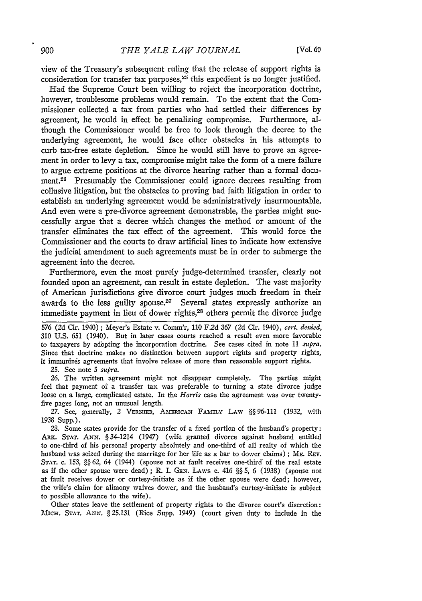view of the Treasury's subsequent ruling that the release of support rights is consideration for transfer tax purposes,<sup>25</sup> this expedient is no longer justified.

Had the Supreme Court been willing to reject the incorporation doctrine, however, troublesome problems would remain. To the extent that the Commissioner collected a tax from parties who had settled their differences by agreement, he would in effect be penalizing compromise. Furthermore, although the Commissioner would be free to look through the decree to the underlying agreement, he would face other obstacles in his attempts to curb tax-free estate depletion. Since he would still have to prove an agreement in order to levy a tax, compromise might take the form of a mere failure to argue extreme positions at the divorce hearing rather than a formal document.<sup>26</sup> Presumably the Commissioner could ignore decrees resulting from collusive litigation, but the obstacles to proving bad faith litigation in order to establish an underlying agreement would be administratively insurmountable. And even were a pre-divorce agreement demonstrable, the parties might successfully argue that a decree which changes the method or amount of the transfer eliminates the tax effect of the agreement. This would force the Commissioner and the courts to draw artificial lines to indicate how extensive the judicial amendment to such agreements must be in order to submerge the agreement into the decree.

Furthermore, even the most purely judge-determined transfer, clearly not founded upon an agreement, can result in estate depletion. The vast majority of American jurisdictions give divorce court judges much freedom in their awards to the less guilty spouse.<sup>27</sup> Several states expressly authorize an immediate payment in lieu of dower rights, 28 others permit the divorce judge

576 (2d Cir. 1940) ; Meyer's Estate v. Comm'r, 110 F2d 367 (2d Cir. 1940), *cert. denied,* 310 U.S. 651 (1940). But in later cases courts reached a result even more favorable to taxpayers by adopting the incorporation doctrine. See cases cited in note 11 *supra.* Since that doctrine makes no distinction between support rights and property rights, it immunizes agreements that involve release of more than reasonable support rights.

25. See note 5 *supra.*

26. The written agreement might not disappear completely. The parties might feel that payment of a transfer tax was preferable to turning a state divorce judge loose on a large, complicated estate. In the *Harris* case the agreement was over twentyfive pages long, not an unusual length.

27. See, generally, 2 VERNIER, AMERICAN FAMILY LAW §§ 96-111 (1932, with 1938 Supp.).

28. Some states provide for the transfer of a fixed portion of the husband's property: ARK. **STAT.** *ANN.* §34-1214 (1947) (wife granted divorce against husband entitled to one-third of his personal property absolutely and one-third of all realty of which the husband was seized during the marriage for her life as a bar to dower claims) ; ME. REV. **STAT. c.** *153,* §§ *62,* 64 (1944) (spouse not at fault receives one-third of the real estate as if the other spouse were dead) ; R. I. **GEN.** LAws **c.** 416 §§ *5,* 6 (1938) (spouse not at fault receives dower or curtesy-initiate as if the other spouse were dead; however, the wife's claim for alimony waives dower, and the husband's curtesy-initiate is subject to possible allowance to the wife).

Other states leave the settlement of property rights to the divorce court's discretion: **MIcH. STAT.** *ANN.* § **25.131** (Rice Supp. 1949) (court given duty to include in the